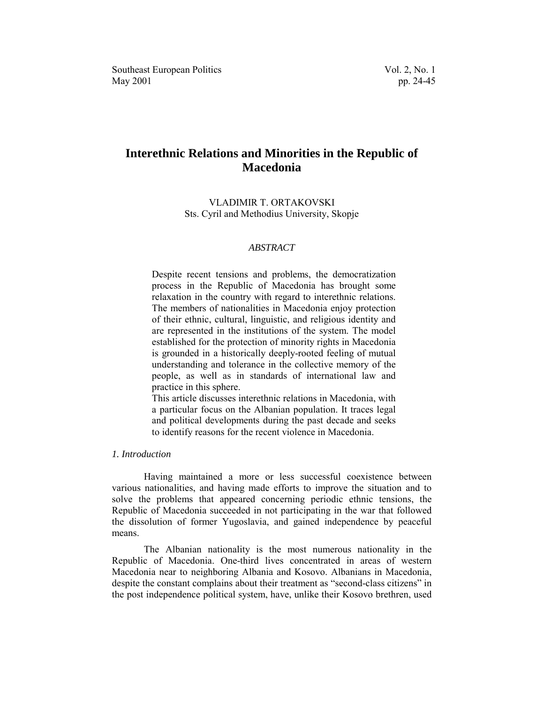# **Interethnic Relations and Minorities in the Republic of Macedonia**

# VLADIMIR T. ORTAKOVSKI Sts. Cyril and Methodius University, Skopje

# *ABSTRACT*

Despite recent tensions and problems, the democratization process in the Republic of Macedonia has brought some relaxation in the country with regard to interethnic relations. The members of nationalities in Macedonia enjoy protection of their ethnic, cultural, linguistic, and religious identity and are represented in the institutions of the system. The model established for the protection of minority rights in Macedonia is grounded in a historically deeply-rooted feeling of mutual understanding and tolerance in the collective memory of the people, as well as in standards of international law and practice in this sphere.

This article discusses interethnic relations in Macedonia, with a particular focus on the Albanian population. It traces legal and political developments during the past decade and seeks to identify reasons for the recent violence in Macedonia.

# *1. Introduction*

Having maintained a more or less successful coexistence between various nationalities, and having made efforts to improve the situation and to solve the problems that appeared concerning periodic ethnic tensions, the Republic of Macedonia succeeded in not participating in the war that followed the dissolution of former Yugoslavia, and gained independence by peaceful means.

The Albanian nationality is the most numerous nationality in the Republic of Macedonia. One-third lives concentrated in areas of western Macedonia near to neighboring Albania and Kosovo. Albanians in Macedonia, despite the constant complains about their treatment as "second-class citizens" in the post independence political system, have, unlike their Kosovo brethren, used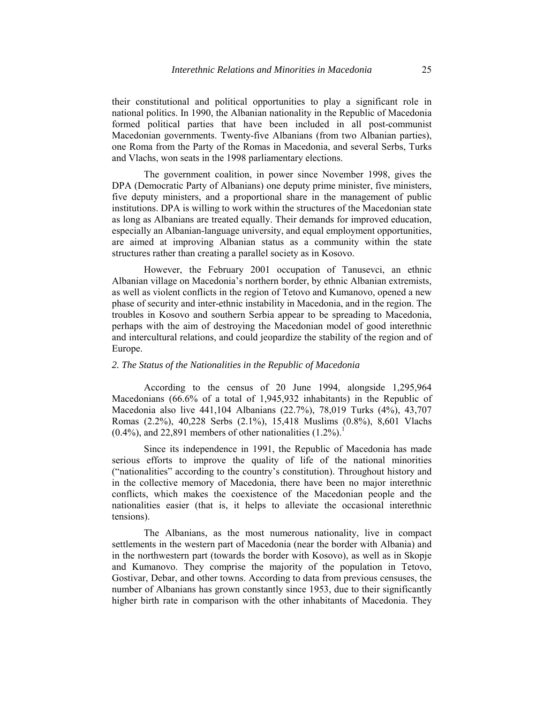their constitutional and political opportunities to play a significant role in national politics. In 1990, the Albanian nationality in the Republic of Macedonia formed political parties that have been included in all post-communist Macedonian governments. Twenty-five Albanians (from two Albanian parties), one Roma from the Party of the Romas in Macedonia, and several Serbs, Turks and Vlachs, won seats in the 1998 parliamentary elections.

The government coalition, in power since November 1998, gives the DPA (Democratic Party of Albanians) one deputy prime minister, five ministers, five deputy ministers, and a proportional share in the management of public institutions. DPA is willing to work within the structures of the Macedonian state as long as Albanians are treated equally. Their demands for improved education, especially an Albanian-language university, and equal employment opportunities, are aimed at improving Albanian status as a community within the state structures rather than creating a parallel society as in Kosovo.

However, the February 2001 occupation of Tanusevci, an ethnic Albanian village on Macedonia's northern border, by ethnic Albanian extremists, as well as violent conflicts in the region of Tetovo and Kumanovo, opened a new phase of security and inter-ethnic instability in Macedonia, and in the region. The troubles in Kosovo and southern Serbia appear to be spreading to Macedonia, perhaps with the aim of destroying the Macedonian model of good interethnic and intercultural relations, and could jeopardize the stability of the region and of Europe.

#### *2. The Status of the Nationalities in the Republic of Macedonia*

According to the census of 20 June 1994, alongside 1,295,964 Macedonians (66.6% of a total of 1,945,932 inhabitants) in the Republic of Macedonia also live 441,104 Albanians (22.7%), 78,019 Turks (4%), 43,707 Romas (2.2%), 40,228 Serbs (2.1%), 15,418 Muslims (0.8%), 8,601 Vlachs  $(0.4\%)$ , and 22,89[1](#page-21-0) members of other nationalities  $(1.2\%)$ <sup>1</sup>

Since its independence in 1991, the Republic of Macedonia has made serious efforts to improve the quality of life of the national minorities ("nationalities" according to the country's constitution). Throughout history and in the collective memory of Macedonia, there have been no major interethnic conflicts, which makes the coexistence of the Macedonian people and the nationalities easier (that is, it helps to alleviate the occasional interethnic tensions).

The Albanians, as the most numerous nationality, live in compact settlements in the western part of Macedonia (near the border with Albania) and in the northwestern part (towards the border with Kosovo), as well as in Skopje and Kumanovo. They comprise the majority of the population in Tetovo, Gostivar, Debar, and other towns. According to data from previous censuses, the number of Albanians has grown constantly since 1953, due to their significantly higher birth rate in comparison with the other inhabitants of Macedonia. They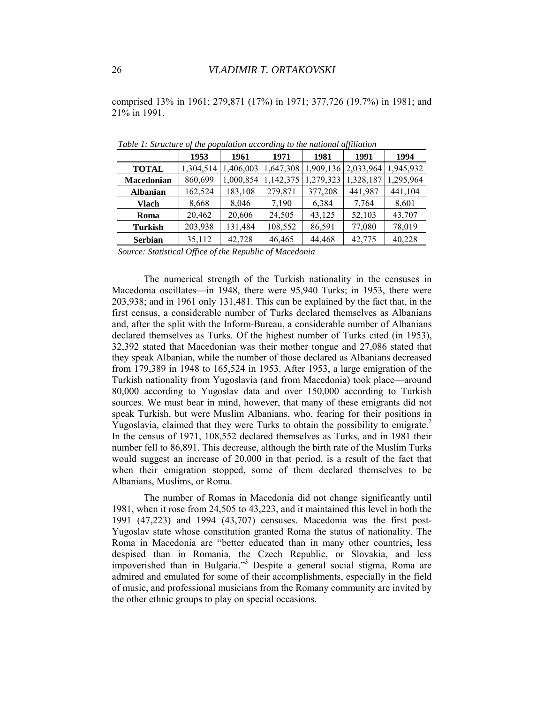comprised 13% in 1961; 279,871 (17%) in 1971; 377,726 (19.7%) in 1981; and 21% in 1991.

|                 | 1953      | 1961      | 1971      | 1981      | 1991      | 1994      |
|-----------------|-----------|-----------|-----------|-----------|-----------|-----------|
| <b>TOTAL</b>    | 1,304,514 | 1,406,003 | 1,647,308 | 1,909,136 | 2,033,964 | 1,945,932 |
| Macedonian      | 860,699   | 1,000,854 | 1,142,375 | 1,279,323 | 1,328,187 | 1,295,964 |
| <b>Albanian</b> | 162,524   | 183,108   | 279,871   | 377,208   | 441,987   | 441,104   |
| Vlach           | 8,668     | 8,046     | 7,190     | 6,384     | 7,764     | 8,601     |
| Roma            | 20,462    | 20,606    | 24,505    | 43,125    | 52,103    | 43,707    |
| <b>Turkish</b>  | 203,938   | 131,484   | 108,552   | 86,591    | 77,080    | 78,019    |
| <b>Serbian</b>  | 35,112    | 42,728    | 46,465    | 44,468    | 42,775    | 40,228    |

*Table 1: Structure of the population according to the national affiliation* 

*Source: Statistical Office of the Republic of Macedonia* 

The numerical strength of the Turkish nationality in the censuses in Macedonia oscillates—in 1948, there were 95,940 Turks; in 1953, there were 203,938; and in 1961 only 131,481. This can be explained by the fact that, in the first census, a considerable number of Turks declared themselves as Albanians and, after the split with the Inform-Bureau, a considerable number of Albanians declared themselves as Turks. Of the highest number of Turks cited (in 1953), 32,392 stated that Macedonian was their mother tongue and 27,086 stated that they speak Albanian, while the number of those declared as Albanians decreased from 179,389 in 1948 to 165,524 in 1953. After 1953, a large emigration of the Turkish nationality from Yugoslavia (and from Macedonia) took place—around 80,000 according to Yugoslav data and over 150,000 according to Turkish sources. We must bear in mind, however, that many of these emigrants did not speak Turkish, but were Muslim Albanians, who, fearing for their positions in Yugoslavia, claimed that they were Turks to obtain the possibility to emigrate.<sup>2</sup> In the census of 1971, 108,552 declared themselves as Turks, and in 1981 their number fell to 86,891. This decrease, although the birth rate of the Muslim Turks would suggest an increase of 20,000 in that period, is a result of the fact that when their emigration stopped, some of them declared themselves to be Albanians, Muslims, or Roma.

The number of Romas in Macedonia did not change significantly until 1981, when it rose from 24,505 to 43,223, and it maintained this level in both the 1991 (47,223) and 1994 (43,707) censuses. Macedonia was the first post-Yugoslav state whose constitution granted Roma the status of nationality. The Roma in Macedonia are "better educated than in many other countries, less despised than in Romania, the Czech Republic, or Slovakia, and less impoverished than in Bulgaria."[3](#page-21-0) Despite a general social stigma, Roma are admired and emulated for some of their accomplishments, especially in the field of music, and professional musicians from the Romany community are invited by the other ethnic groups to play on special occasions.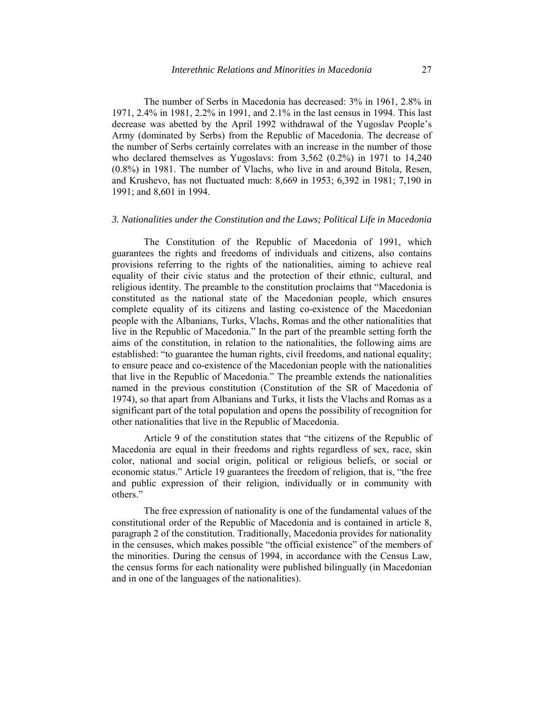The number of Serbs in Macedonia has decreased: 3% in 1961, 2.8% in 1971, 2.4% in 1981, 2.2% in 1991, and 2.1% in the last census in 1994. This last decrease was abetted by the April 1992 withdrawal of the Yugoslav People's Army (dominated by Serbs) from the Republic of Macedonia. The decrease of the number of Serbs certainly correlates with an increase in the number of those who declared themselves as Yugoslavs: from 3,562 (0.2%) in 1971 to 14,240 (0.8%) in 1981. The number of Vlachs, who live in and around Bitola, Resen, and Krushevo, has not fluctuated much: 8,669 in 1953; 6,392 in 1981; 7,190 in 1991; and 8,601 in 1994.

## *3. Nationalities under the Constitution and the Laws; Political Life in Macedonia*

The Constitution of the Republic of Macedonia of 1991, which guarantees the rights and freedoms of individuals and citizens, also contains provisions referring to the rights of the nationalities, aiming to achieve real equality of their civic status and the protection of their ethnic, cultural, and religious identity. The preamble to the constitution proclaims that "Macedonia is constituted as the national state of the Macedonian people, which ensures complete equality of its citizens and lasting co-existence of the Macedonian people with the Albanians, Turks, Vlachs, Romas and the other nationalities that live in the Republic of Macedonia." In the part of the preamble setting forth the aims of the constitution, in relation to the nationalities, the following aims are established: "to guarantee the human rights, civil freedoms, and national equality; to ensure peace and co-existence of the Macedonian people with the nationalities that live in the Republic of Macedonia." The preamble extends the nationalities named in the previous constitution (Constitution of the SR of Macedonia of 1974), so that apart from Albanians and Turks, it lists the Vlachs and Romas as a significant part of the total population and opens the possibility of recognition for other nationalities that live in the Republic of Macedonia.

Article 9 of the constitution states that "the citizens of the Republic of Macedonia are equal in their freedoms and rights regardless of sex, race, skin color, national and social origin, political or religious beliefs, or social or economic status." Article 19 guarantees the freedom of religion, that is, "the free and public expression of their religion, individually or in community with others."

The free expression of nationality is one of the fundamental values of the constitutional order of the Republic of Macedonia and is contained in article 8, paragraph 2 of the constitution. Traditionally, Macedonia provides for nationality in the censuses, which makes possible "the official existence" of the members of the minorities. During the census of 1994, in accordance with the Census Law, the census forms for each nationality were published bilingually (in Macedonian and in one of the languages of the nationalities).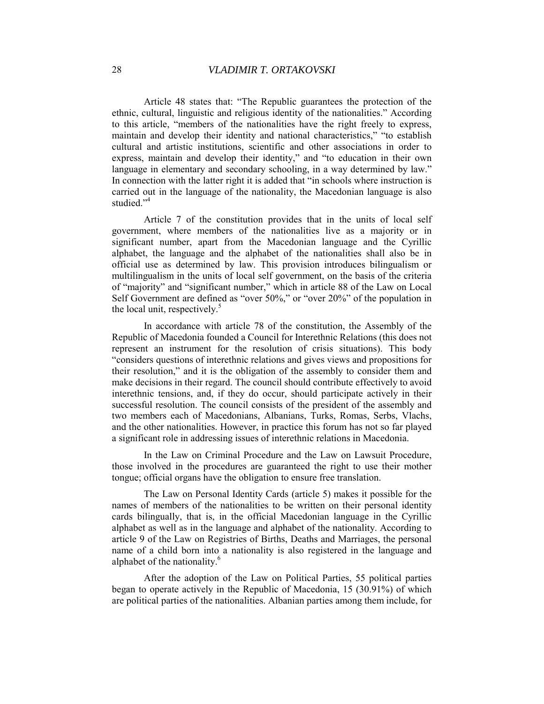Article 48 states that: "The Republic guarantees the protection of the ethnic, cultural, linguistic and religious identity of the nationalities." According to this article, "members of the nationalities have the right freely to express, maintain and develop their identity and national characteristics," "to establish cultural and artistic institutions, scientific and other associations in order to express, maintain and develop their identity," and "to education in their own language in elementary and secondary schooling, in a way determined by law." In connection with the latter right it is added that "in schools where instruction is carried out in the language of the nationality, the Macedonian language is also studied<sup>"[4](#page-21-0)</sup>

Article 7 of the constitution provides that in the units of local self government, where members of the nationalities live as a majority or in significant number, apart from the Macedonian language and the Cyrillic alphabet, the language and the alphabet of the nationalities shall also be in official use as determined by law. This provision introduces bilingualism or multilingualism in the units of local self government, on the basis of the criteria of "majority" and "significant number," which in article 88 of the Law on Local Self Government are defined as "over 50%," or "over 20%" of the population in the local unit, respectively. $5$ 

In accordance with article 78 of the constitution, the Assembly of the Republic of Macedonia founded a Council for Interethnic Relations (this does not represent an instrument for the resolution of crisis situations). This body "considers questions of interethnic relations and gives views and propositions for their resolution," and it is the obligation of the assembly to consider them and make decisions in their regard. The council should contribute effectively to avoid interethnic tensions, and, if they do occur, should participate actively in their successful resolution. The council consists of the president of the assembly and two members each of Macedonians, Albanians, Turks, Romas, Serbs, Vlachs, and the other nationalities. However, in practice this forum has not so far played a significant role in addressing issues of interethnic relations in Macedonia.

In the Law on Criminal Procedure and the Law on Lawsuit Procedure, those involved in the procedures are guaranteed the right to use their mother tongue; official organs have the obligation to ensure free translation.

The Law on Personal Identity Cards (article 5) makes it possible for the names of members of the nationalities to be written on their personal identity cards bilingually, that is, in the official Macedonian language in the Cyrillic alphabet as well as in the language and alphabet of the nationality. According to article 9 of the Law on Registries of Births, Deaths and Marriages, the personal name of a child born into a nationality is also registered in the language and alphabet of the nationality.<sup>6</sup>

After the adoption of the Law on Political Parties, 55 political parties began to operate actively in the Republic of Macedonia, 15 (30.91%) of which are political parties of the nationalities. Albanian parties among them include, for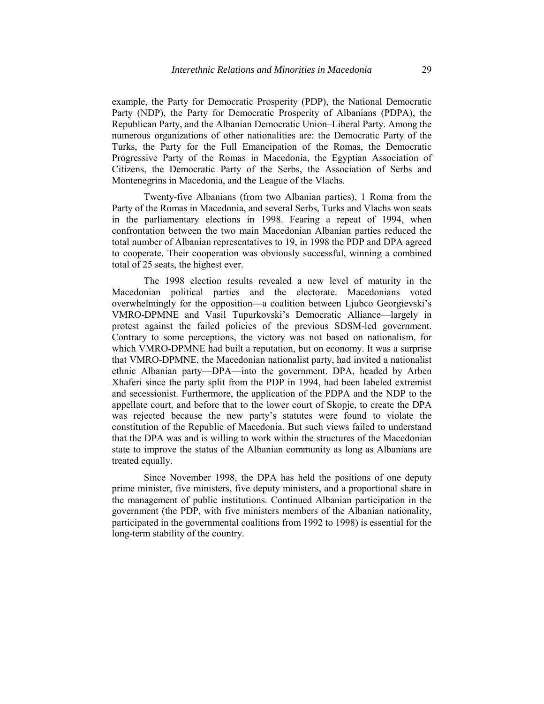example, the Party for Democratic Prosperity (PDP), the National Democratic Party (NDP), the Party for Democratic Prosperity of Albanians (PDPA), the Republican Party, and the Albanian Democratic Union–Liberal Party. Among the numerous organizations of other nationalities are: the Democratic Party of the Turks, the Party for the Full Emancipation of the Romas, the Democratic Progressive Party of the Romas in Macedonia, the Egyptian Association of Citizens, the Democratic Party of the Serbs, the Association of Serbs and Montenegrins in Macedonia, and the League of the Vlachs.

Twenty-five Albanians (from two Albanian parties), 1 Roma from the Party of the Romas in Macedonia, and several Serbs, Turks and Vlachs won seats in the parliamentary elections in 1998. Fearing a repeat of 1994, when confrontation between the two main Macedonian Albanian parties reduced the total number of Albanian representatives to 19, in 1998 the PDP and DPA agreed to cooperate. Their cooperation was obviously successful, winning a combined total of 25 seats, the highest ever.

The 1998 election results revealed a new level of maturity in the Macedonian political parties and the electorate. Macedonians voted overwhelmingly for the opposition—a coalition between Ljubco Georgievski's VMRO-DPMNE and Vasil Tupurkovski's Democratic Alliance—largely in protest against the failed policies of the previous SDSM-led government. Contrary to some perceptions, the victory was not based on nationalism, for which VMRO-DPMNE had built a reputation, but on economy. It was a surprise that VMRO-DPMNE, the Macedonian nationalist party, had invited a nationalist ethnic Albanian party—DPA—into the government. DPA, headed by Arben Xhaferi since the party split from the PDP in 1994, had been labeled extremist and secessionist. Furthermore, the application of the PDPA and the NDP to the appellate court, and before that to the lower court of Skopje, to create the DPA was rejected because the new party's statutes were found to violate the constitution of the Republic of Macedonia. But such views failed to understand that the DPA was and is willing to work within the structures of the Macedonian state to improve the status of the Albanian community as long as Albanians are treated equally.

Since November 1998, the DPA has held the positions of one deputy prime minister, five ministers, five deputy ministers, and a proportional share in the management of public institutions. Continued Albanian participation in the government (the PDP, with five ministers members of the Albanian nationality, participated in the governmental coalitions from 1992 to 1998) is essential for the long-term stability of the country.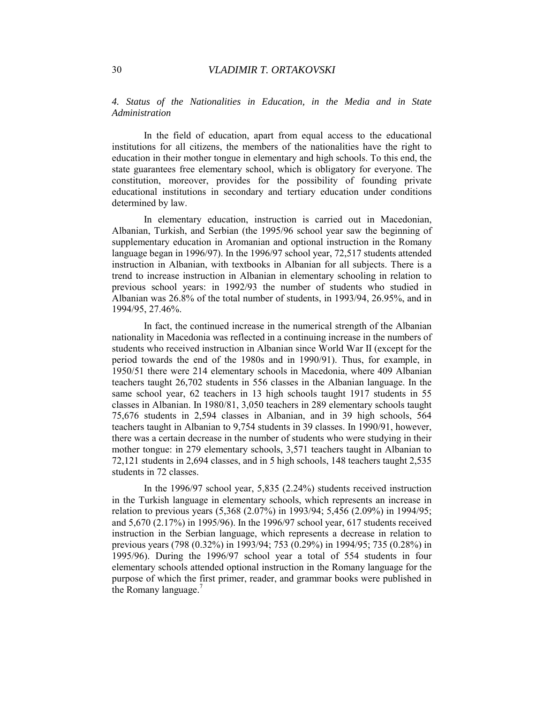*4. Status of the Nationalities in Education, in the Media and in State Administration* 

In the field of education, apart from equal access to the educational institutions for all citizens, the members of the nationalities have the right to education in their mother tongue in elementary and high schools. To this end, the state guarantees free elementary school, which is obligatory for everyone. The constitution, moreover, provides for the possibility of founding private educational institutions in secondary and tertiary education under conditions determined by law.

In elementary education, instruction is carried out in Macedonian, Albanian, Turkish, and Serbian (the 1995/96 school year saw the beginning of supplementary education in Aromanian and optional instruction in the Romany language began in 1996/97). In the 1996/97 school year, 72,517 students attended instruction in Albanian, with textbooks in Albanian for all subjects. There is a trend to increase instruction in Albanian in elementary schooling in relation to previous school years: in 1992/93 the number of students who studied in Albanian was 26.8% of the total number of students, in 1993/94, 26.95%, and in 1994/95, 27.46%.

In fact, the continued increase in the numerical strength of the Albanian nationality in Macedonia was reflected in a continuing increase in the numbers of students who received instruction in Albanian since World War II (except for the period towards the end of the 1980s and in 1990/91). Thus, for example, in 1950/51 there were 214 elementary schools in Macedonia, where 409 Albanian teachers taught 26,702 students in 556 classes in the Albanian language. In the same school year, 62 teachers in 13 high schools taught 1917 students in 55 classes in Albanian. In 1980/81, 3,050 teachers in 289 elementary schools taught 75,676 students in 2,594 classes in Albanian, and in 39 high schools, 564 teachers taught in Albanian to 9,754 students in 39 classes. In 1990/91, however, there was a certain decrease in the number of students who were studying in their mother tongue: in 279 elementary schools, 3,571 teachers taught in Albanian to 72,121 students in 2,694 classes, and in 5 high schools, 148 teachers taught 2,535 students in 72 classes.

In the 1996/97 school year, 5,835 (2.24%) students received instruction in the Turkish language in elementary schools, which represents an increase in relation to previous years (5,368 (2.07%) in 1993/94; 5,456 (2.09%) in 1994/95; and 5,670 (2.17%) in 1995/96). In the 1996/97 school year, 617 students received instruction in the Serbian language, which represents a decrease in relation to previous years (798 (0.32%) in 1993/94; 753 (0.29%) in 1994/95; 735 (0.28%) in 1995/96). During the 1996/97 school year a total of 554 students in four elementary schools attended optional instruction in the Romany language for the purpose of which the [fi](#page-21-0)rst primer, reader, and grammar books were published in the Romany language. $\frac{7}{2}$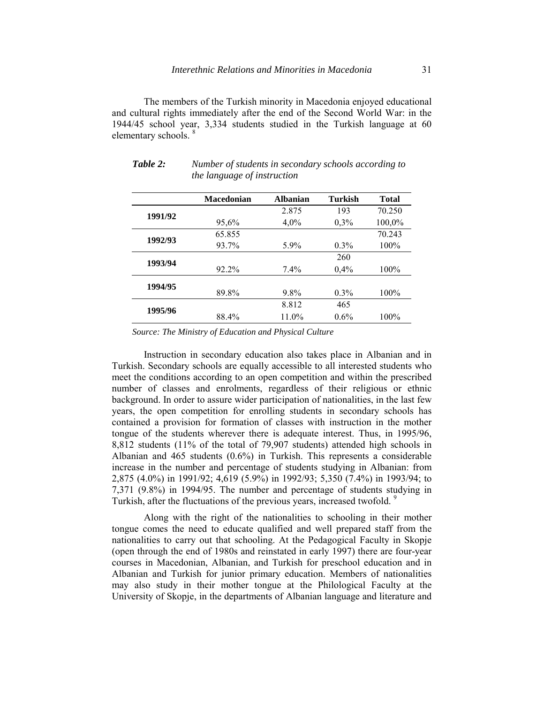The members of the Turkish minority in Macedonia enjoyed educational and cultural rights immediately after the end of the Second World War: in the 1944/45 school year, 3,334 students studied in the Turkish language at 60 elementary schools.<sup>8</sup>

|         | <b>Macedonian</b> | <b>Albanian</b> | <b>Turkish</b> | <b>Total</b> |
|---------|-------------------|-----------------|----------------|--------------|
| 1991/92 |                   | 2.875           | 193            | 70.250       |
|         | 95,6%             | $4,0\%$         | 0,3%           | 100,0%       |
| 1992/93 | 65.855            |                 |                | 70.243       |
|         | 93.7%             | 5.9%            | $0.3\%$        | 100%         |
| 1993/94 |                   |                 | 260            |              |
|         | 92.2%             | $7.4\%$         | 0,4%           | 100%         |
| 1994/95 |                   |                 |                |              |
|         | 89.8%             | 9.8%            | $0.3\%$        | 100%         |
| 1995/96 |                   | 8.812           | 465            |              |
|         | 88.4%             | 11.0%           | $0.6\%$        | 100%         |

*Table 2: Number of students in secondary schools according to the language of instruction* 

*Source: The Ministry of Education and Physical Culture* 

Instruction in secondary education also takes place in Albanian and in Turkish. Secondary schools are equally accessible to all interested students who meet the conditions according to an open competition and within the prescribed number of classes and enrolments, regardless of their religious or ethnic background. In order to assure wider participation of nationalities, in the last few years, the open competition for enrolling students in secondary schools has contained a provision for formation of classes with instruction in the mother tongue of the students wherever there is adequate interest. Thus, in 1995/96, 8,812 students (11% of the total of 79,907 students) attended high schools in Albanian and 465 students (0.6%) in Turkish. This represents a considerable increase in the number and percentage of students studying in Albanian: from 2,875 (4.0%) in 1991/92; 4,619 (5.9%) in 1992/93; 5,350 (7.4%) in 1993/94; to 7,371 (9.8%) in 1994/95. The number and percentage of students studying in Turkish, after the fluctuations of the previous years, increased twofold.<sup>[9](#page-21-0)</sup>

Along with the right of the nationalities to schooling in their mother tongue comes the need to educate qualified and well prepared staff from the nationalities to carry out that schooling. At the Pedagogical Faculty in Skopje (open through the end of 1980s and reinstated in early 1997) there are four-year courses in Macedonian, Albanian, and Turkish for preschool education and in Albanian and Turkish for junior primary education. Members of nationalities may also study in their mother tongue at the Philological Faculty at the University of Skopje, in the departments of Albanian language and literature and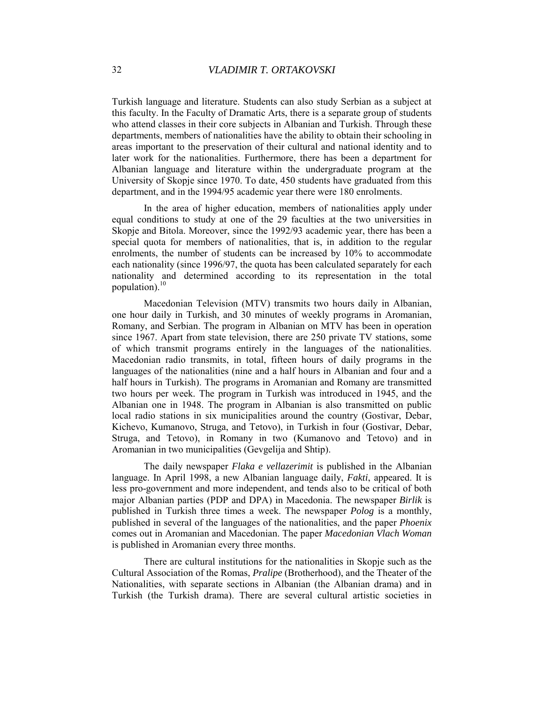Turkish language and literature. Students can also study Serbian as a subject at this faculty. In the Faculty of Dramatic Arts, there is a separate group of students who attend classes in their core subjects in Albanian and Turkish. Through these departments, members of nationalities have the ability to obtain their schooling in areas important to the preservation of their cultural and national identity and to later work for the nationalities. Furthermore, there has been a department for Albanian language and literature within the undergraduate program at the University of Skopje since 1970. To date, 450 students have graduated from this department, and in the 1994/95 academic year there were 180 enrolments.

In the area of higher education, members of nationalities apply under equal conditions to study at one of the 29 faculties at the two universities in Skopje and Bitola. Moreover, since the 1992/93 academic year, there has been a special quota for members of nationalities, that is, in addition to the regular enrolments, the number of students can be increased by 10% to accommodate each nationality (since 1996/97, the quota has been calculated separately for each nationality and determined according to its representation in the total population). $^{10}$ 

Macedonian Television (MTV) transmits two hours daily in Albanian, one hour daily in Turkish, and 30 minutes of weekly programs in Aromanian, Romany, and Serbian. The program in Albanian on MTV has been in operation since 1967. Apart from state television, there are 250 private TV stations, some of which transmit programs entirely in the languages of the nationalities. Macedonian radio transmits, in total, fifteen hours of daily programs in the languages of the nationalities (nine and a half hours in Albanian and four and a half hours in Turkish). The programs in Aromanian and Romany are transmitted two hours per week. The program in Turkish was introduced in 1945, and the Albanian one in 1948. The program in Albanian is also transmitted on public local radio stations in six municipalities around the country (Gostivar, Debar, Kichevo, Kumanovo, Struga, and Tetovo), in Turkish in four (Gostivar, Debar, Struga, and Tetovo), in Romany in two (Kumanovo and Tetovo) and in Aromanian in two municipalities (Gevgelija and Shtip).

The daily newspaper *Flaka e vellazerimit* is published in the Albanian language. In April 1998, a new Albanian language daily, *Fakti*, appeared. It is less pro-government and more independent, and tends also to be critical of both major Albanian parties (PDP and DPA) in Macedonia. The newspaper *Birlik* is published in Turkish three times a week. The newspaper *Polog* is a monthly, published in several of the languages of the nationalities, and the paper *Phoenix* comes out in Aromanian and Macedonian. The paper *Macedonian Vlach Woman* is published in Aromanian every three months.

There are cultural institutions for the nationalities in Skopje such as the Cultural Association of the Romas, *Pralipe* (Brotherhood), and the Theater of the Nationalities, with separate sections in Albanian (the Albanian drama) and in Turkish (the Turkish drama). There are several cultural artistic societies in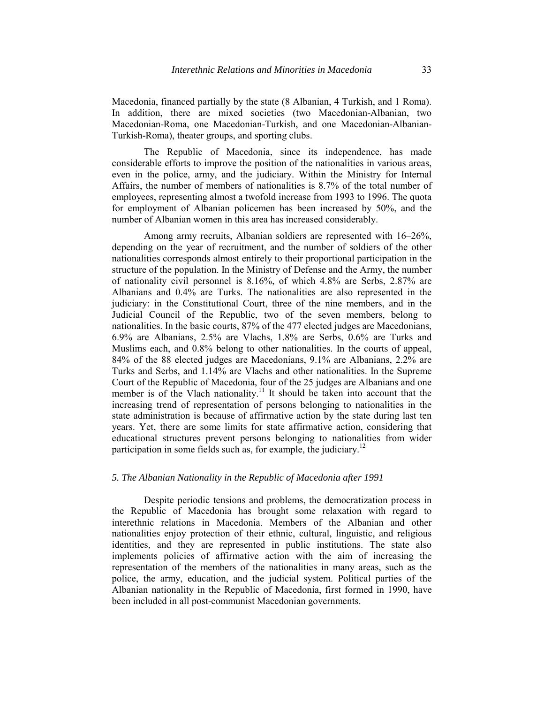Macedonia, financed partially by the state (8 Albanian, 4 Turkish, and 1 Roma). In addition, there are mixed societies (two Macedonian-Albanian, two Macedonian-Roma, one Macedonian-Turkish, and one Macedonian-Albanian-Turkish-Roma), theater groups, and sporting clubs.

The Republic of Macedonia, since its independence, has made considerable efforts to improve the position of the nationalities in various areas, even in the police, army, and the judiciary. Within the Ministry for Internal Affairs, the number of members of nationalities is 8.7% of the total number of employees, representing almost a twofold increase from 1993 to 1996. The quota for employment of Albanian policemen has been increased by 50%, and the number of Albanian women in this area has increased considerably.

Among army recruits, Albanian soldiers are represented with 16–26%, depending on the year of recruitment, and the number of soldiers of the other nationalities corresponds almost entirely to their proportional participation in the structure of the population. In the Ministry of Defense and the Army, the number of nationality civil personnel is 8.16%, of which 4.8% are Serbs, 2.87% are Albanians and 0.4% are Turks. The nationalities are also represented in the judiciary: in the Constitutional Court, three of the nine members, and in the Judicial Council of the Republic, two of the seven members, belong to nationalities. In the basic courts, 87% of the 477 elected judges are Macedonians, 6.9% are Albanians, 2.5% are Vlachs, 1.8% are Serbs, 0.6% are Turks and Muslims each, and 0.8% belong to other nationalities. In the courts of appeal, 84% of the 88 elected judges are Macedonians, 9.1% are Albanians, 2.2% are Turks and Serbs, and 1.14% are Vlachs and other nationalities. In the Supreme Court of the Republic of Macedonia, four of the 25 judges are Albanians and one member is of the Vlach nationality.<sup>11</sup> It should be taken into account that the increasing trend of representation of persons belonging to nationalities in the state administration is because of affirmative action by the state during last ten years. Yet, there are some limits for state affirmative action, considering that educational structures prevent persons belonging to nationalities from wider participation in some fields such as, for example, the judiciary.<sup>[12](#page-21-0)</sup>

#### *5. The Albanian Nationality in the Republic of Macedonia after 1991*

Despite periodic tensions and problems, the democratization process in the Republic of Macedonia has brought some relaxation with regard to interethnic relations in Macedonia. Members of the Albanian and other nationalities enjoy protection of their ethnic, cultural, linguistic, and religious identities, and they are represented in public institutions. The state also implements policies of affirmative action with the aim of increasing the representation of the members of the nationalities in many areas, such as the police, the army, education, and the judicial system. Political parties of the Albanian nationality in the Republic of Macedonia, first formed in 1990, have been included in all post-communist Macedonian governments.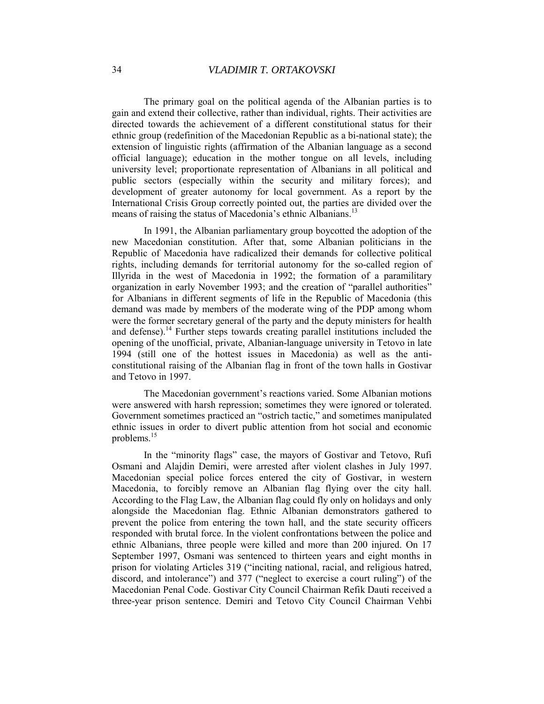The primary goal on the political agenda of the Albanian parties is to gain and extend their collective, rather than individual, rights. Their activities are directed towards the achievement of a different constitutional status for their ethnic group (redefinition of the Macedonian Republic as a bi-national state); the extension of linguistic rights (affirmation of the Albanian language as a second official language); education in the mother tongue on all levels, including university level; proportionate representation of Albanians in all political and public sectors (especially within the security and military forces); and development of greater autonomy for local government. As a report by the International Crisis Group correctly pointed out, the parties are divided over the means of raising the status of Macedonia's ethnic Albanians.<sup>[13](#page-21-0)</sup>

In 1991, the Albanian parliamentary group boycotted the adoption of the new Macedonian constitution. After that, some Albanian politicians in the Republic of Macedonia have radicalized their demands for collective political rights, including demands for territorial autonomy for the so-called region of Illyrida in the west of Macedonia in 1992; the formation of a paramilitary organization in early November 1993; and the creation of "parallel authorities" for Albanians in different segments of life in the Republic of Macedonia (this demand was made by members of the moderate wing of the PDP among whom were the former secretary general of the party and the deputy ministers for health and defense).<sup>14</sup> Further steps towards creating parallel institutions included the opening of the unofficial, private, Albanian-language university in Tetovo in late 1994 (still one of the hottest issues in Macedonia) as well as the anticonstitutional raising of the Albanian flag in front of the town halls in Gostivar and Tetovo in 1997.

The Macedonian government's reactions varied. Some Albanian motions were answered with harsh repression; sometimes they were ignored or tolerated. Government sometimes practiced an "ostrich tactic," and sometimes manipulated ethnic issues in order to divert public attention from hot social and economic problems.[15](#page-21-0)

In the "minority flags" case, the mayors of Gostivar and Tetovo, Rufi Osmani and Alajdin Demiri, were arrested after violent clashes in July 1997. Macedonian special police forces entered the city of Gostivar, in western Macedonia, to forcibly remove an Albanian flag flying over the city hall. According to the Flag Law, the Albanian flag could fly only on holidays and only alongside the Macedonian flag. Ethnic Albanian demonstrators gathered to prevent the police from entering the town hall, and the state security officers responded with brutal force. In the violent confrontations between the police and ethnic Albanians, three people were killed and more than 200 injured. On 17 September 1997, Osmani was sentenced to thirteen years and eight months in prison for violating Articles 319 ("inciting national, racial, and religious hatred, discord, and intolerance") and 377 ("neglect to exercise a court ruling") of the Macedonian Penal Code. Gostivar City Council Chairman Refik Dauti received a three-year prison sentence. Demiri and Tetovo City Council Chairman Vehbi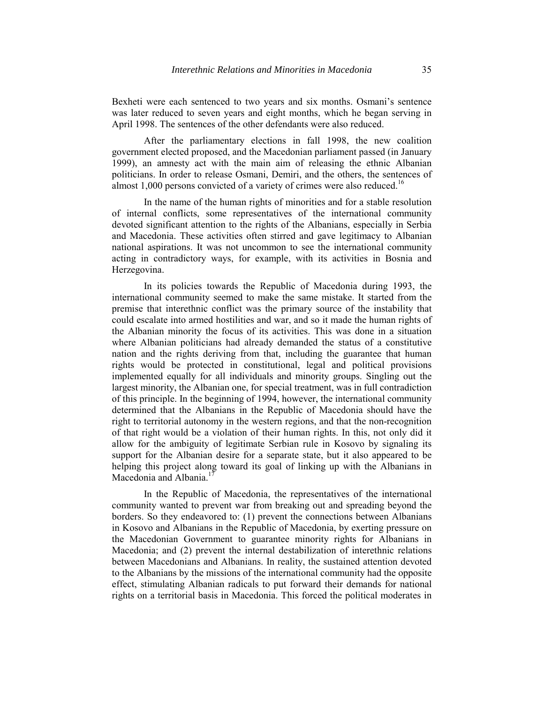Bexheti were each sentenced to two years and six months. Osmani's sentence was later reduced to seven years and eight months, which he began serving in April 1998. The sentences of the other defendants were also reduced.

After the parliamentary elections in fall 1998, the new coalition government elected proposed, and the Macedonian parliament passed (in January 1999), an amnesty act with the main aim of releasing the ethnic Albanian politicians. In order to release Osmani, Demiri, and the others, the sentences of almost 1,000 persons convicted of a variety of crimes were also reduced.<sup>[16](#page-21-0)</sup>

In the name of the human rights of minorities and for a stable resolution of internal conflicts, some representatives of the international community devoted significant attention to the rights of the Albanians, especially in Serbia and Macedonia. These activities often stirred and gave legitimacy to Albanian national aspirations. It was not uncommon to see the international community acting in contradictory ways, for example, with its activities in Bosnia and Herzegovina.

In its policies towards the Republic of Macedonia during 1993, the international community seemed to make the same mistake. It started from the premise that interethnic conflict was the primary source of the instability that could escalate into armed hostilities and war, and so it made the human rights of the Albanian minority the focus of its activities. This was done in a situation where Albanian politicians had already demanded the status of a constitutive nation and the rights deriving from that, including the guarantee that human rights would be protected in constitutional, legal and political provisions implemented equally for all individuals and minority groups. Singling out the largest minority, the Albanian one, for special treatment, was in full contradiction of this principle. In the beginning of 1994, however, the international community determined that the Albanians in the Republic of Macedonia should have the right to territorial autonomy in the western regions, and that the non-recognition of that right would be a violation of their human rights. In this, not only did it allow for the ambiguity of legitimate Serbian rule in Kosovo by signaling its support for the Albanian desire for a separate state, but it also appeared to be helping this project along toward its goal of linking up with the Albanians in Macedonia and Albania.<sup>17</sup>

In the Republic of Macedonia, the representatives of the international community wanted to prevent war from breaking out and spreading beyond the borders. So they endeavored to: (1) prevent the connections between Albanians in Kosovo and Albanians in the Republic of Macedonia, by exerting pressure on the Macedonian Government to guarantee minority rights for Albanians in Macedonia; and (2) prevent the internal destabilization of interethnic relations between Macedonians and Albanians. In reality, the sustained attention devoted to the Albanians by the missions of the international community had the opposite effect, stimulating Albanian radicals to put forward their demands for national rights on a territorial basis in Macedonia. This forced the political moderates in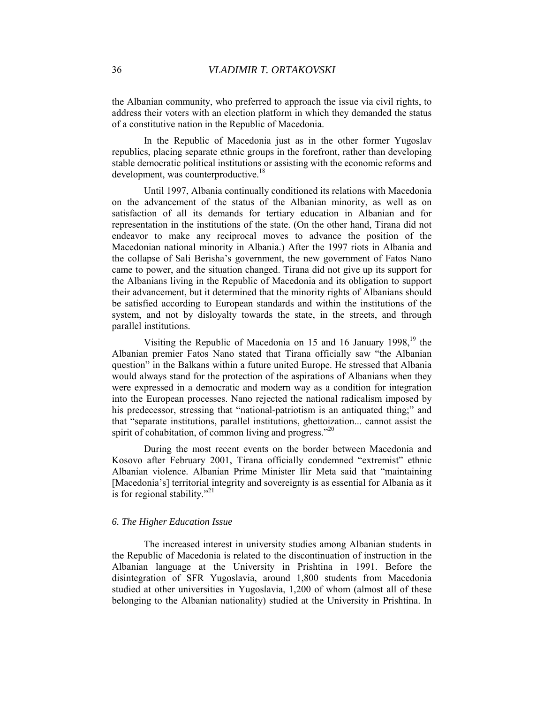the Albanian community, who preferred to approach the issue via civil rights, to address their voters with an election platform in which they demanded the status of a constitutive nation in the Republic of Macedonia.

In the Republic of Macedonia just as in the other former Yugoslav republics, placing separate ethnic groups in the forefront, rather than developing stable democratic political institutions or assisting with the economic reforms and development, was counterproductive.<sup>18</sup>

Until 1997, Albania continually conditioned its relations with Macedonia on the advancement of the status of the Albanian minority, as well as on satisfaction of all its demands for tertiary education in Albanian and for representation in the institutions of the state. (On the other hand, Tirana did not endeavor to make any reciprocal moves to advance the position of the Macedonian national minority in Albania.) After the 1997 riots in Albania and the collapse of Sali Berisha's government, the new government of Fatos Nano came to power, and the situation changed. Tirana did not give up its support for the Albanians living in the Republic of Macedonia and its obligation to support their advancement, but it determined that the minority rights of Albanians should be satisfied according to European standards and within the institutions of the system, and not by disloyalty towards the state, in the streets, and through parallel institutions.

Visiting the Republic of Macedonia on 15 and 16 January 1998,<sup>19</sup> the Albanian premier Fatos Nano stated that Tirana officially saw "the Albanian question" in the Balkans within a future united Europe. He stressed that Albania would always stand for the protection of the aspirations of Albanians when they were expressed in a democratic and modern way as a condition for integration into the European processes. Nano rejected the national radicalism imposed by his predecessor, stressing that "national-patriotism is an antiquated thing;" and that "separate institutions, parallel institutions, ghettoization... cannot assist the spirit of cohabitation, of common living and progress."<sup>[20](#page-21-0)</sup>

During the most recent events on the border between Macedonia and Kosovo after February 2001, Tirana officially condemned "extremist" ethnic Albanian violence. Albanian Prime Minister Ilir Meta said that "maintaining [Macedonia's] territorial integrity and sovereignty is as essential for Albania as it is for regional stability."<sup>[21](#page-21-0)</sup>

### *6. The Higher Education Issue*

The increased interest in university studies among Albanian students in the Republic of Macedonia is related to the discontinuation of instruction in the Albanian language at the University in Prishtina in 1991. Before the disintegration of SFR Yugoslavia, around 1,800 students from Macedonia studied at other universities in Yugoslavia, 1,200 of whom (almost all of these belonging to the Albanian nationality) studied at the University in Prishtina. In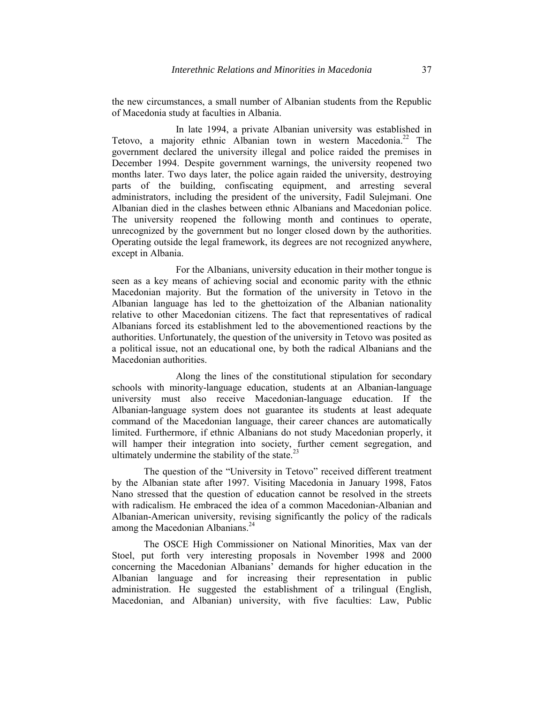the new circumstances, a small number of Albanian students from the Republic of Macedonia study at faculties in Albania.

 In late 1994, a private Albanian university was established in Tetovo, a majority ethnic Albanian town in western Macedonia.<sup>22</sup> The government declared the university illegal and police raided the premises in December 1994. Despite government warnings, the university reopened two months later. Two days later, the police again raided the university, destroying parts of the building, confiscating equipment, and arresting several administrators, including the president of the university, Fadil Sulejmani. One Albanian died in the clashes between ethnic Albanians and Macedonian police. The university reopened the following month and continues to operate, unrecognized by the government but no longer closed down by the authorities. Operating outside the legal framework, its degrees are not recognized anywhere, except in Albania.

 For the Albanians, university education in their mother tongue is seen as a key means of achieving social and economic parity with the ethnic Macedonian majority. But the formation of the university in Tetovo in the Albanian language has led to the ghettoization of the Albanian nationality relative to other Macedonian citizens. The fact that representatives of radical Albanians forced its establishment led to the abovementioned reactions by the authorities. Unfortunately, the question of the university in Tetovo was posited as a political issue, not an educational one, by both the radical Albanians and the Macedonian authorities.

 Along the lines of the constitutional stipulation for secondary schools with minority-language education, students at an Albanian-language university must also receive Macedonian-language education. If the Albanian-language system does not guarantee its students at least adequate command of the Macedonian language, their career chances are automatically limited. Furthermore, if ethnic Albanians do not study Macedonian properly, it will hamper their integration into society, further cement segregation, and ultimately undermine the stability of the state. $^{23}$  $^{23}$  $^{23}$ 

The question of the "University in Tetovo" received different treatment by the Albanian state after 1997. Visiting Macedonia in January 1998, Fatos Nano stressed that the question of education cannot be resolved in the streets with radicalism. He embraced the idea of a common Macedonian-Albanian and Albanian-American university, revising significantly the policy of the radicals among the Macedonian Albanians.<sup>[24](#page-21-0)</sup>

The OSCE High Commissioner on National Minorities, Max van der Stoel, put forth very interesting proposals in November 1998 and 2000 concerning the Macedonian Albanians' demands for higher education in the Albanian language and for increasing their representation in public administration. He suggested the establishment of a trilingual (English, Macedonian, and Albanian) university, with five faculties: Law, Public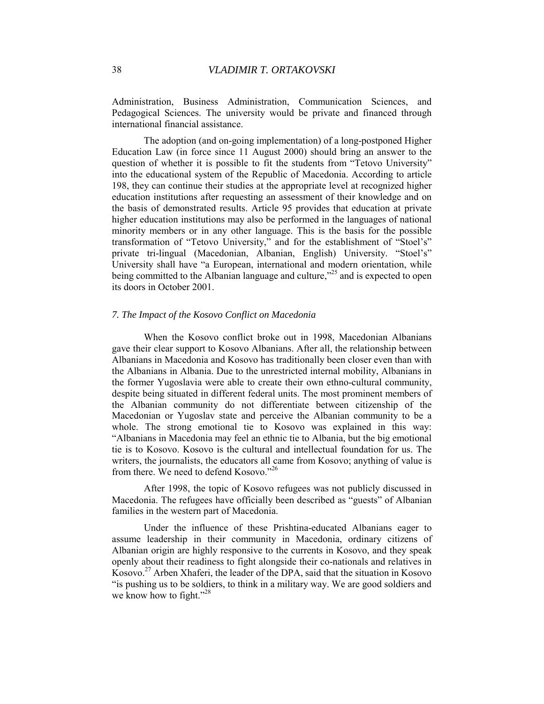Administration, Business Administration, Communication Sciences, and Pedagogical Sciences. The university would be private and financed through international financial assistance.

The adoption (and on-going implementation) of a long-postponed Higher Education Law (in force since 11 August 2000) should bring an answer to the question of whether it is possible to fit the students from "Tetovo University" into the educational system of the Republic of Macedonia. According to article 198, they can continue their studies at the appropriate level at recognized higher education institutions after requesting an assessment of their knowledge and on the basis of demonstrated results. Article 95 provides that education at private higher education institutions may also be performed in the languages of national minority members or in any other language. This is the basis for the possible transformation of "Tetovo University," and for the establishment of "Stoel's" private tri-lingual (Macedonian, Albanian, English) University. "Stoel's" University shall have "a European, international and modern orientation, while being committed to the Albanian language and culture,<sup>225</sup> and is expected to open its doors in October 2001.

#### *7. The Impact of the Kosovo Conflict on Macedonia*

When the Kosovo conflict broke out in 1998, Macedonian Albanians gave their clear support to Kosovo Albanians. After all, the relationship between Albanians in Macedonia and Kosovo has traditionally been closer even than with the Albanians in Albania. Due to the unrestricted internal mobility, Albanians in the former Yugoslavia were able to create their own ethno-cultural community, despite being situated in different federal units. The most prominent members of the Albanian community do not differentiate between citizenship of the Macedonian or Yugoslav state and perceive the Albanian community to be a whole. The strong emotional tie to Kosovo was explained in this way: "Albanians in Macedonia may feel an ethnic tie to Albania, but the big emotional tie is to Kosovo. Kosovo is the cultural and intellectual foundation for us. The writers, the journalists, the educators all came from Kosovo; anything of value is from there. We need to defend Kosovo."<sup>26</sup>

After 1998, the topic of Kosovo refugees was not publicly discussed in Macedonia. The refugees have officially been described as "guests" of Albanian families in the western part of Macedonia.

Under the influence of these Prishtina-educated Albanians eager to assume leadership in their community in Macedonia, ordinary citizens of Albanian origin are highly responsive to the currents in Kosovo, and they speak openly about their readiness to fight alongside their co-nationals and relatives in Kosovo.<sup>27</sup> Arben Xhaferi, the leader of the DPA, said that the situation in Kosovo "is pushing us to be soldiers, to think in a military way. We are good soldiers and we know how to fight."<sup>[28](#page-21-0)</sup>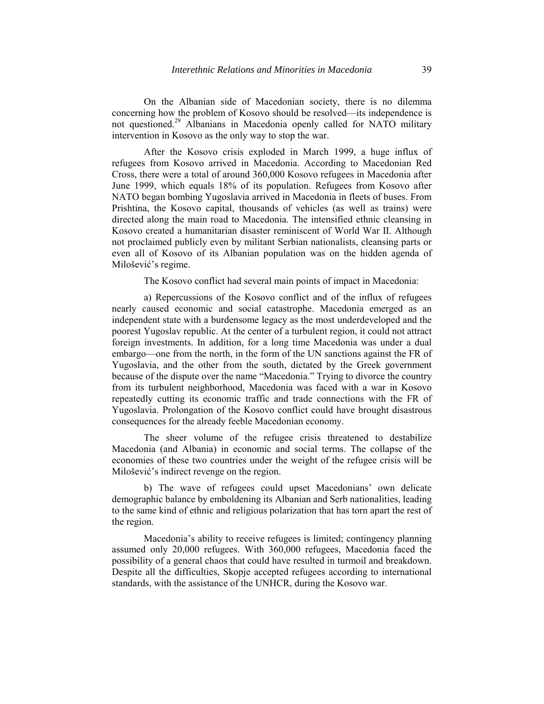On the Albanian side of Macedonian society, there is no dilemma concerning how the problem of Kosovo should be resolved—its independence is not questioned.<sup>29</sup> Albanians in Macedonia openly called for NATO military intervention in Kosovo as the only way to stop the war.

After the Kosovo crisis exploded in March 1999, a huge influx of refugees from Kosovo arrived in Macedonia. According to Macedonian Red Cross, there were a total of around 360,000 Kosovo refugees in Macedonia after June 1999, which equals 18% of its population. Refugees from Kosovo after NATO began bombing Yugoslavia arrived in Macedonia in fleets of buses. From Prishtina, the Kosovo capital, thousands of vehicles (as well as trains) were directed along the main road to Macedonia. The intensified ethnic cleansing in Kosovo created a humanitarian disaster reminiscent of World War II. Although not proclaimed publicly even by militant Serbian nationalists, cleansing parts or even all of Kosovo of its Albanian population was on the hidden agenda of Milošević's regime.

The Kosovo conflict had several main points of impact in Macedonia:

a) Repercussions of the Kosovo conflict and of the influx of refugees nearly caused economic and social catastrophe. Macedonia emerged as an independent state with a burdensome legacy as the most underdeveloped and the poorest Yugoslav republic. At the center of a turbulent region, it could not attract foreign investments. In addition, for a long time Macedonia was under a dual embargo—one from the north, in the form of the UN sanctions against the FR of Yugoslavia, and the other from the south, dictated by the Greek government because of the dispute over the name "Macedonia." Trying to divorce the country from its turbulent neighborhood, Macedonia was faced with a war in Kosovo repeatedly cutting its economic traffic and trade connections with the FR of Yugoslavia. Prolongation of the Kosovo conflict could have brought disastrous consequences for the already feeble Macedonian economy.

The sheer volume of the refugee crisis threatened to destabilize Macedonia (and Albania) in economic and social terms. The collapse of the economies of these two countries under the weight of the refugee crisis will be Milošević's indirect revenge on the region.

b) The wave of refugees could upset Macedonians' own delicate demographic balance by emboldening its Albanian and Serb nationalities, leading to the same kind of ethnic and religious polarization that has torn apart the rest of the region.

Macedonia's ability to receive refugees is limited; contingency planning assumed only 20,000 refugees. With 360,000 refugees, Macedonia faced the possibility of a general chaos that could have resulted in turmoil and breakdown. Despite all the difficulties, Skopje accepted refugees according to international standards, with the assistance of the UNHCR, during the Kosovo war.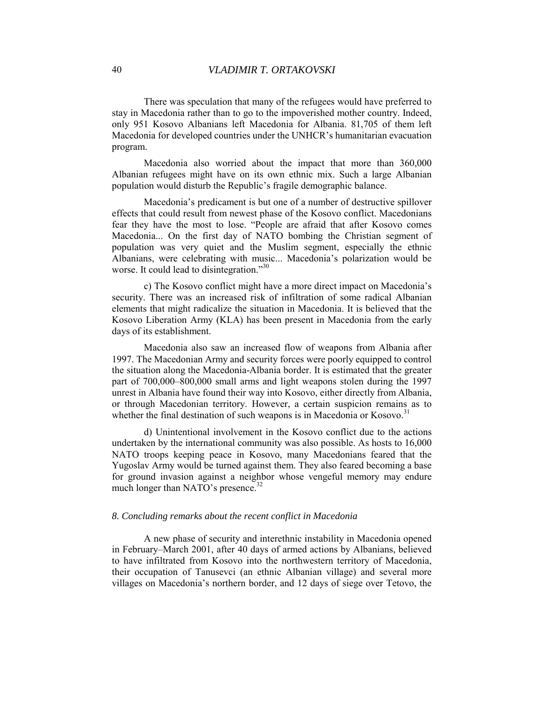There was speculation that many of the refugees would have preferred to stay in Macedonia rather than to go to the impoverished mother country. Indeed, only 951 Kosovo Albanians left Macedonia for Albania. 81,705 of them left Macedonia for developed countries under the UNHCR's humanitarian evacuation program.

Macedonia also worried about the impact that more than 360,000 Albanian refugees might have on its own ethnic mix. Such a large Albanian population would disturb the Republic's fragile demographic balance.

Macedonia's predicament is but one of a number of destructive spillover effects that could result from newest phase of the Kosovo conflict. Macedonians fear they have the most to lose. "People are afraid that after Kosovo comes Macedonia... On the first day of NATO bombing the Christian segment of population was very quiet and the Muslim segment, especially the ethnic Albanians, were celebrating with music... Macedonia's polarization would be worse. It could lead to disintegration."<sup>[30](#page-21-0)</sup>

c) The Kosovo conflict might have a more direct impact on Macedonia's security. There was an increased risk of infiltration of some radical Albanian elements that might radicalize the situation in Macedonia. It is believed that the Kosovo Liberation Army (KLA) has been present in Macedonia from the early days of its establishment.

Macedonia also saw an increased flow of weapons from Albania after 1997. The Macedonian Army and security forces were poorly equipped to control the situation along the Macedonia-Albania border. It is estimated that the greater part of 700,000–800,000 small arms and light weapons stolen during the 1997 unrest in Albania have found their way into Kosovo, either directly from Albania, or through Macedonian territory. However, a certain suspicion remains as to whether the final destination of such weapons is in Macedonia or Kosovo.<sup>[31](#page-21-0)</sup>

d) Unintentional involvement in the Kosovo conflict due to the actions undertaken by the international community was also possible. As hosts to 16,000 NATO troops keeping peace in Kosovo, many Macedonians feared that the Yugoslav Army would be turned against them. They also feared becoming a base for ground invasion against a neighbor whose vengeful memory may endure much longer than NATO's presence. $32$ 

#### *8. Concluding remarks about the recent conflict in Macedonia*

A new phase of security and interethnic instability in Macedonia opened in February–March 2001, after 40 days of armed actions by Albanians, believed to have infiltrated from Kosovo into the northwestern territory of Macedonia, their occupation of Tanusevci (an ethnic Albanian village) and several more villages on Macedonia's northern border, and 12 days of siege over Tetovo, the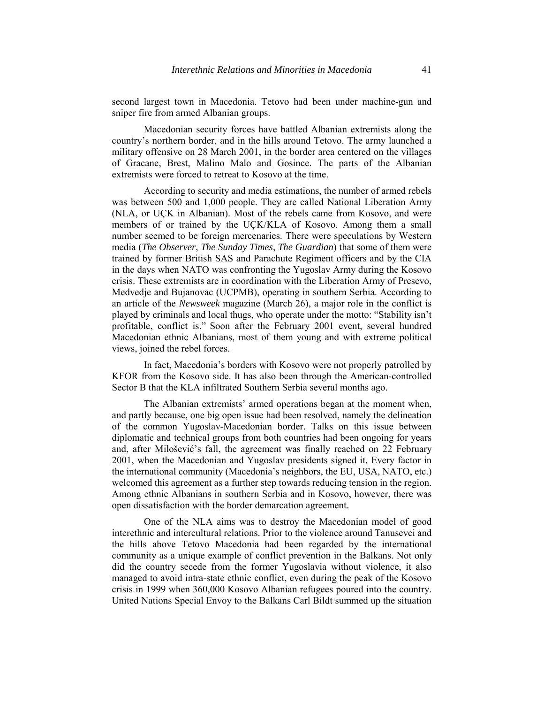second largest town in Macedonia. Tetovo had been under machine-gun and sniper fire from armed Albanian groups.

Macedonian security forces have battled Albanian extremists along the country's northern border, and in the hills around Tetovo. The army launched a military offensive on 28 March 2001, in the border area centered on the villages of Gracane, Brest, Malino Malo and Gosince. The parts of the Albanian extremists were forced to retreat to Kosovo at the time.

According to security and media estimations, the number of armed rebels was between 500 and 1,000 people. They are called National Liberation Army (NLA, or UÇK in Albanian). Most of the rebels came from Kosovo, and were members of or trained by the UÇK/KLA of Kosovo. Among them a small number seemed to be foreign mercenaries. There were speculations by Western media (*The Observer*, *The Sunday Times*, *The Guardian*) that some of them were trained by former British SAS and Parachute Regiment officers and by the CIA in the days when NATO was confronting the Yugoslav Army during the Kosovo crisis. These extremists are in coordination with the Liberation Army of Presevo, Medvedje and Bujanovac (UCPMB), operating in southern Serbia. According to an article of the *Newsweek* magazine (March 26), a major role in the conflict is played by criminals and local thugs, who operate under the motto: "Stability isn't profitable, conflict is." Soon after the February 2001 event, several hundred Macedonian ethnic Albanians, most of them young and with extreme political views, joined the rebel forces.

In fact, Macedonia's borders with Kosovo were not properly patrolled by KFOR from the Kosovo side. It has also been through the American-controlled Sector B that the KLA infiltrated Southern Serbia several months ago.

The Albanian extremists' armed operations began at the moment when, and partly because, one big open issue had been resolved, namely the delineation of the common Yugoslav-Macedonian border. Talks on this issue between diplomatic and technical groups from both countries had been ongoing for years and, after Milošević's fall, the agreement was finally reached on 22 February 2001, when the Macedonian and Yugoslav presidents signed it. Every factor in the international community (Macedonia's neighbors, the EU, USA, NATO, etc.) welcomed this agreement as a further step towards reducing tension in the region. Among ethnic Albanians in southern Serbia and in Kosovo, however, there was open dissatisfaction with the border demarcation agreement.

One of the NLA aims was to destroy the Macedonian model of good interethnic and intercultural relations. Prior to the violence around Tanusevci and the hills above Tetovo Macedonia had been regarded by the international community as a unique example of conflict prevention in the Balkans. Not only did the country secede from the former Yugoslavia without violence, it also managed to avoid intra-state ethnic conflict, even during the peak of the Kosovo crisis in 1999 when 360,000 Kosovo Albanian refugees poured into the country. United Nations Special Envoy to the Balkans Carl Bildt summed up the situation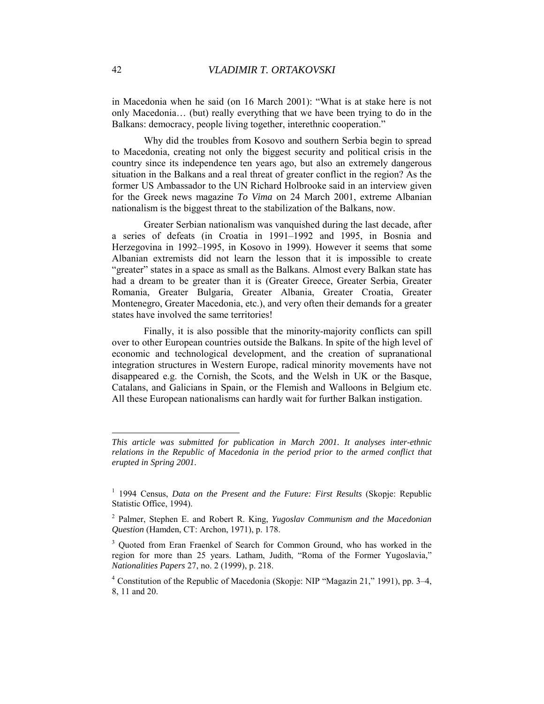in Macedonia when he said (on 16 March 2001): "What is at stake here is not only Macedonia… (but) really everything that we have been trying to do in the Balkans: democracy, people living together, interethnic cooperation."

Why did the troubles from Kosovo and southern Serbia begin to spread to Macedonia, creating not only the biggest security and political crisis in the country since its independence ten years ago, but also an extremely dangerous situation in the Balkans and a real threat of greater conflict in the region? As the former US Ambassador to the UN Richard Holbrooke said in an interview given for the Greek news magazine *To Vima* on 24 March 2001, extreme Albanian nationalism is the biggest threat to the stabilization of the Balkans, now.

Greater Serbian nationalism was vanquished during the last decade, after a series of defeats (in Croatia in 1991–1992 and 1995, in Bosnia and Herzegovina in 1992–1995, in Kosovo in 1999). However it seems that some Albanian extremists did not learn the lesson that it is impossible to create "greater" states in a space as small as the Balkans. Almost every Balkan state has had a dream to be greater than it is (Greater Greece, Greater Serbia, Greater Romania, Greater Bulgaria, Greater Albania, Greater Croatia, Greater Montenegro, Greater Macedonia, etc.), and very often their demands for a greater states have involved the same territories!

Finally, it is also possible that the minority-majority conflicts can spill over to other European countries outside the Balkans. In spite of the high level of economic and technological development, and the creation of supranational integration structures in Western Europe, radical minority movements have not disappeared e.g. the Cornish, the Scots, and the Welsh in UK or the Basque, Catalans, and Galicians in Spain, or the Flemish and Walloons in Belgium etc. All these European nationalisms can hardly wait for further Balkan instigation.

 $\overline{a}$ 

*This article was submitted for publication in March 2001. It analyses inter-ethnic relations in the Republic of Macedonia in the period prior to the armed conflict that erupted in Spring 2001.* 

<sup>&</sup>lt;sup>1</sup> 1994 Census, *Data on the Present and the Future: First Results* (Skopje: Republic Statistic Office, 1994).

<sup>2</sup> Palmer, Stephen E. and Robert R. King, *Yugoslav Communism and the Macedonian Question* (Hamden, CT: Archon, 1971), p. 178.

<sup>&</sup>lt;sup>3</sup> Quoted from Eran Fraenkel of Search for Common Ground, who has worked in the region for more than 25 years. Latham, Judith, "Roma of the Former Yugoslavia," *Nationalities Papers* 27, no. 2 (1999), p. 218.

<sup>&</sup>lt;sup>4</sup> Constitution of the Republic of Macedonia (Skopje: NIP "Magazin 21," 1991), pp. 3–4, 8, 11 and 20.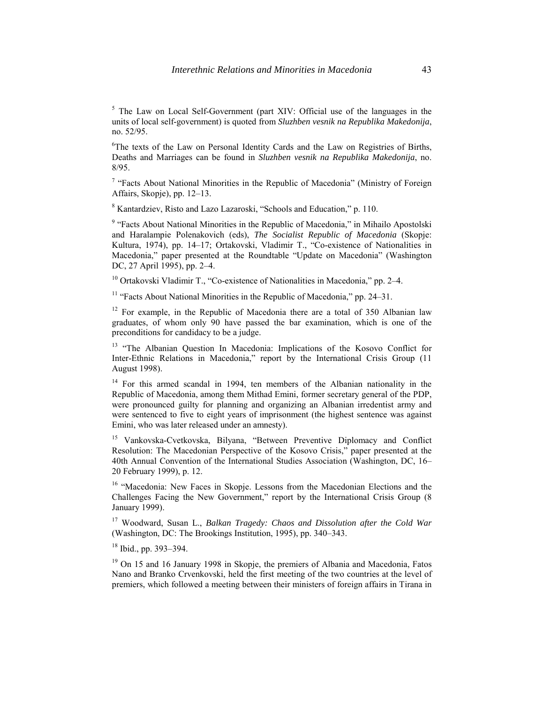<sup>5</sup> The Law on Local Self-Government (part XIV: Official use of the languages in the units of local self-government) is quoted from *Sluzhben vesnik na Republika Makedonija*, no. 52/95.

<sup>6</sup>The texts of the Law on Personal Identity Cards and the Law on Registries of Births, Deaths and Marriages can be found in *Sluzhben vesnik na Republika Makedonija*, no. 8/95.

<sup>7</sup> "Facts About National Minorities in the Republic of Macedonia" (Ministry of Foreign Affairs, Skopje), pp. 12–13.

8 Kantardziev, Risto and Lazo Lazaroski, "Schools and Education," p. 110.

<sup>9</sup> "Facts About National Minorities in the Republic of Macedonia," in Mihailo Apostolski and Haralampie Polenakovich (eds), *The Socialist Republic of Macedonia* (Skopje: Kultura, 1974), pp. 14–17; Ortakovski, Vladimir T., "Co-existence of Nationalities in Macedonia," paper presented at the Roundtable "Update on Macedonia" (Washington DC, 27 April 1995), pp. 2–4.

<sup>10</sup> Ortakovski Vladimir T., "Co-existence of Nationalities in Macedonia," pp. 2–4.

<sup>11</sup> "Facts About National Minorities in the Republic of Macedonia," pp. 24–31.

 $12$  For example, in the Republic of Macedonia there are a total of 350 Albanian law graduates, of whom only 90 have passed the bar examination, which is one of the preconditions for candidacy to be a judge.

<sup>13</sup> "The Albanian Question In Macedonia: Implications of the Kosovo Conflict for Inter-Ethnic Relations in Macedonia," report by the International Crisis Group (11 August 1998).

<sup>14</sup> For this armed scandal in 1994, ten members of the Albanian nationality in the Republic of Macedonia, among them Mithad Emini, former secretary general of the PDP, were pronounced guilty for planning and organizing an Albanian irredentist army and were sentenced to five to eight years of imprisonment (the highest sentence was against Emini, who was later released under an amnesty).

15 Vankovska-Cvetkovska, Bilyana, "Between Preventive Diplomacy and Conflict Resolution: The Macedonian Perspective of the Kosovo Crisis," paper presented at the 40th Annual Convention of the International Studies Association (Washington, DC, 16– 20 February 1999), p. 12.

<sup>16</sup> "Macedonia: New Faces in Skopje. Lessons from the Macedonian Elections and the Challenges Facing the New Government," report by the International Crisis Group (8 January 1999).

17 Woodward, Susan L., *Balkan Tragedy: Chaos and Dissolution after the Cold War* (Washington, DC: The Brookings Institution, 1995), pp. 340–343.

18 Ibid., pp. 393–394.

<sup>19</sup> On 15 and 16 January 1998 in Skopje, the premiers of Albania and Macedonia, Fatos Nano and Branko Crvenkovski, held the first meeting of the two countries at the level of premiers, which followed a meeting between their ministers of foreign affairs in Tirana in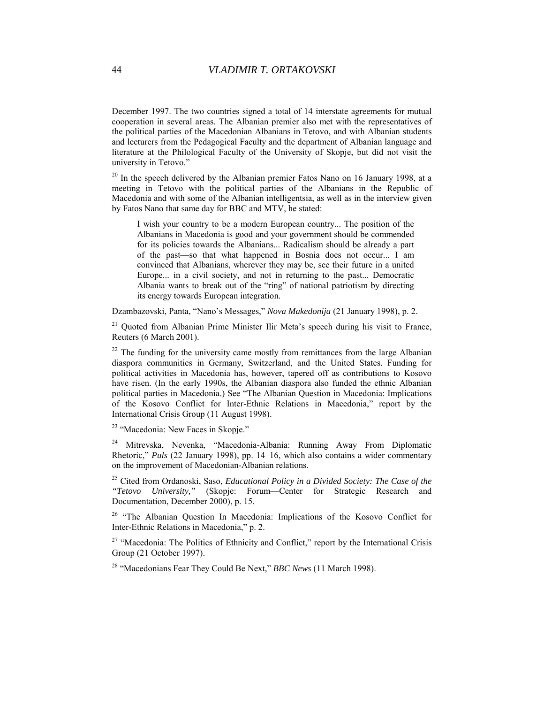December 1997. The two countries signed a total of 14 interstate agreements for mutual cooperation in several areas. The Albanian premier also met with the representatives of the political parties of the Macedonian Albanians in Tetovo, and with Albanian students and lecturers from the Pedagogical Faculty and the department of Albanian language and literature at the Philological Faculty of the University of Skopje, but did not visit the university in Tetovo."

 $20$  In the speech delivered by the Albanian premier Fatos Nano on 16 January 1998, at a meeting in Tetovo with the political parties of the Albanians in the Republic of Macedonia and with some of the Albanian intelligentsia, as well as in the interview given by Fatos Nano that same day for BBC and MTV, he stated:

I wish your country to be a modern European country... The position of the Albanians in Macedonia is good and your government should be commended for its policies towards the Albanians... Radicalism should be already a part of the past—so that what happened in Bosnia does not occur... I am convinced that Albanians, wherever they may be, see their future in a united Europe... in a civil society, and not in returning to the past... Democratic Albania wants to break out of the "ring" of national patriotism by directing its energy towards European integration.

Dzambazovski, Panta, "Nano's Messages," *Nova Makedonija* (21 January 1998), p. 2.

 $21$  Quoted from Albanian Prime Minister Ilir Meta's speech during his visit to France, Reuters (6 March 2001).

 $22$  The funding for the university came mostly from remittances from the large Albanian diaspora communities in Germany, Switzerland, and the United States. Funding for political activities in Macedonia has, however, tapered off as contributions to Kosovo have risen. (In the early 1990s, the Albanian diaspora also funded the ethnic Albanian political parties in Macedonia.) See "The Albanian Question in Macedonia: Implications of the Kosovo Conflict for Inter-Ethnic Relations in Macedonia," report by the International Crisis Group (11 August 1998).

<sup>23</sup> "Macedonia: New Faces in Skopje."

24 Mitrevska, Nevenka, "Macedonia-Albania: Running Away From Diplomatic Rhetoric," *Puls* (22 January 1998), pp. 14–16, which also contains a wider commentary on the improvement of Macedonian-Albanian relations.

25 Cited from Ordanoski, Saso, *Educational Policy in a Divided Society: The Case of the "Tetovo University,"* (Skopje: Forum—Center for Strategic Research and Documentation, December 2000), p. 15.

<sup>26</sup> "The Albanian Question In Macedonia: Implications of the Kosovo Conflict for Inter-Ethnic Relations in Macedonia," p. 2.

<sup>27</sup> "Macedonia: The Politics of Ethnicity and Conflict," report by the International Crisis Group (21 October 1997).

28 "Macedonians Fear They Could Be Next," *BBC News* (11 March 1998).